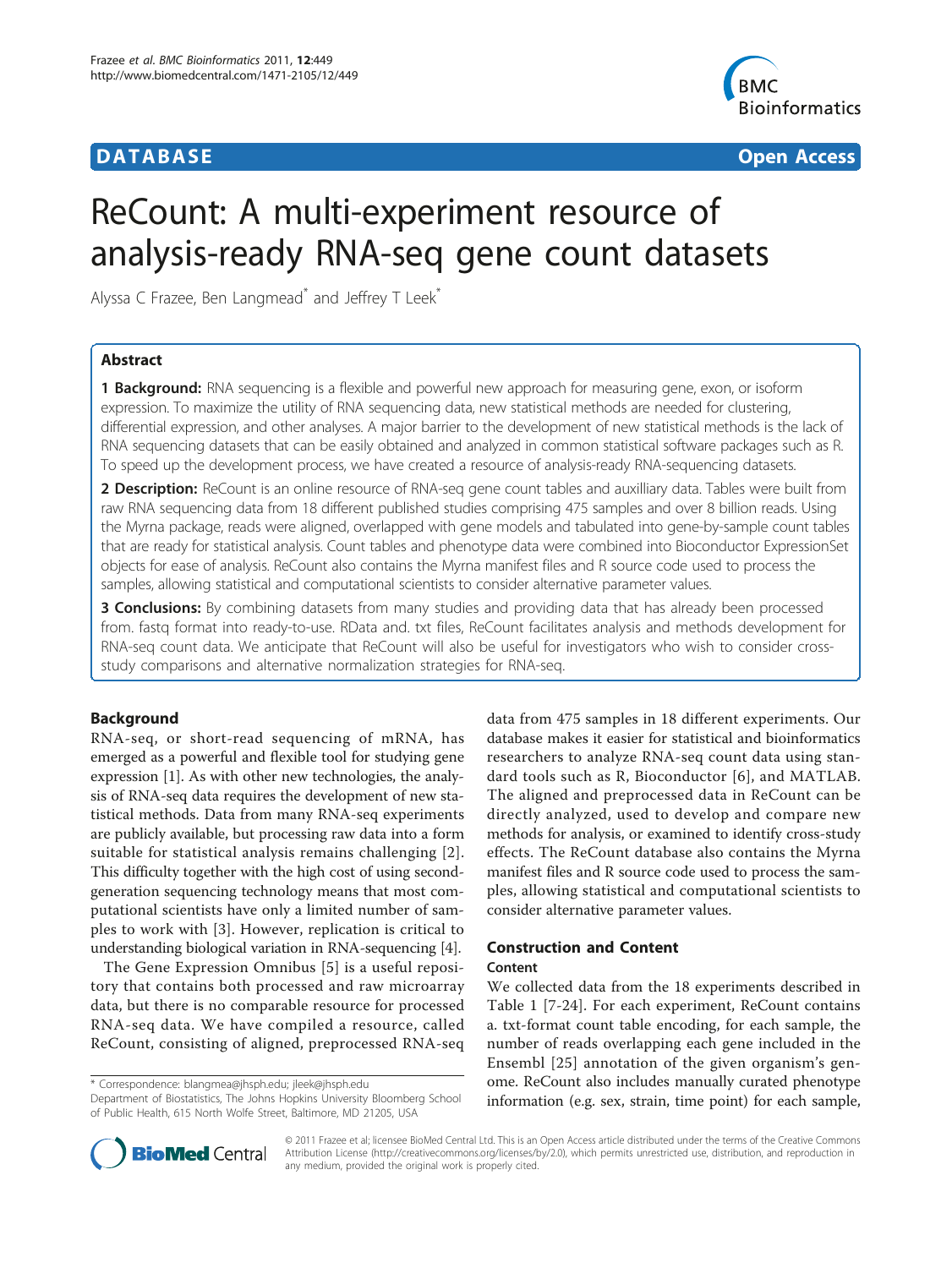# **DATABASE CONSTRUCTER CONSTRUCTION**



# ReCount: A multi-experiment resource of analysis-ready RNA-seq gene count datasets

Alyssa C Frazee, Ben Langmead<sup>\*</sup> and Jeffrey T Leek<sup>\*</sup>

# Abstract

**1 Background:** RNA sequencing is a flexible and powerful new approach for measuring gene, exon, or isoform expression. To maximize the utility of RNA sequencing data, new statistical methods are needed for clustering, differential expression, and other analyses. A major barrier to the development of new statistical methods is the lack of RNA sequencing datasets that can be easily obtained and analyzed in common statistical software packages such as R. To speed up the development process, we have created a resource of analysis-ready RNA-sequencing datasets.

2 Description: ReCount is an online resource of RNA-seq gene count tables and auxilliary data. Tables were built from raw RNA sequencing data from 18 different published studies comprising 475 samples and over 8 billion reads. Using the Myrna package, reads were aligned, overlapped with gene models and tabulated into gene-by-sample count tables that are ready for statistical analysis. Count tables and phenotype data were combined into Bioconductor ExpressionSet objects for ease of analysis. ReCount also contains the Myrna manifest files and R source code used to process the samples, allowing statistical and computational scientists to consider alternative parameter values.

**3 Conclusions:** By combining datasets from many studies and providing data that has already been processed from. fastq format into ready-to-use. RData and. txt files, ReCount facilitates analysis and methods development for RNA-seq count data. We anticipate that ReCount will also be useful for investigators who wish to consider crossstudy comparisons and alternative normalization strategies for RNA-seq.

# Background

RNA-seq, or short-read sequencing of mRNA, has emerged as a powerful and flexible tool for studying gene expression [\[1](#page-3-0)]. As with other new technologies, the analysis of RNA-seq data requires the development of new statistical methods. Data from many RNA-seq experiments are publicly available, but processing raw data into a form suitable for statistical analysis remains challenging [[2\]](#page-3-0). This difficulty together with the high cost of using secondgeneration sequencing technology means that most computational scientists have only a limited number of samples to work with [[3\]](#page-3-0). However, replication is critical to understanding biological variation in RNA-sequencing [[4\]](#page-3-0).

The Gene Expression Omnibus [[5](#page-3-0)] is a useful repository that contains both processed and raw microarray data, but there is no comparable resource for processed RNA-seq data. We have compiled a resource, called ReCount, consisting of aligned, preprocessed RNA-seq

\* Correspondence: [blangmea@jhsph.edu](mailto:blangmea@jhsph.edu); [jleek@jhsph.edu](mailto:jleek@jhsph.edu)

Department of Biostatistics, The Johns Hopkins University Bloomberg School of Public Health, 615 North Wolfe Street, Baltimore, MD 21205, USA

data from 475 samples in 18 different experiments. Our database makes it easier for statistical and bioinformatics researchers to analyze RNA-seq count data using standard tools such as R, Bioconductor [[6\]](#page-3-0), and MATLAB. The aligned and preprocessed data in ReCount can be directly analyzed, used to develop and compare new methods for analysis, or examined to identify cross-study effects. The ReCount database also contains the Myrna manifest files and R source code used to process the samples, allowing statistical and computational scientists to consider alternative parameter values.

### Construction and Content Content

We collected data from the 18 experiments described in Table [1](#page-1-0) [\[7](#page-4-0)-[24\]](#page-4-0). For each experiment, ReCount contains a. txt-format count table encoding, for each sample, the number of reads overlapping each gene included in the Ensembl [[25](#page-4-0)] annotation of the given organism's genome. ReCount also includes manually curated phenotype information (e.g. sex, strain, time point) for each sample,



© 2011 Frazee et al; licensee BioMed Central Ltd. This is an Open Access article distributed under the terms of the Creative Commons Attribution License [\(http://creativecommons.org/licenses/by/2.0](http://creativecommons.org/licenses/by/2.0)), which permits unrestricted use, distribution, and reproduction in any medium, provided the original work is properly cited.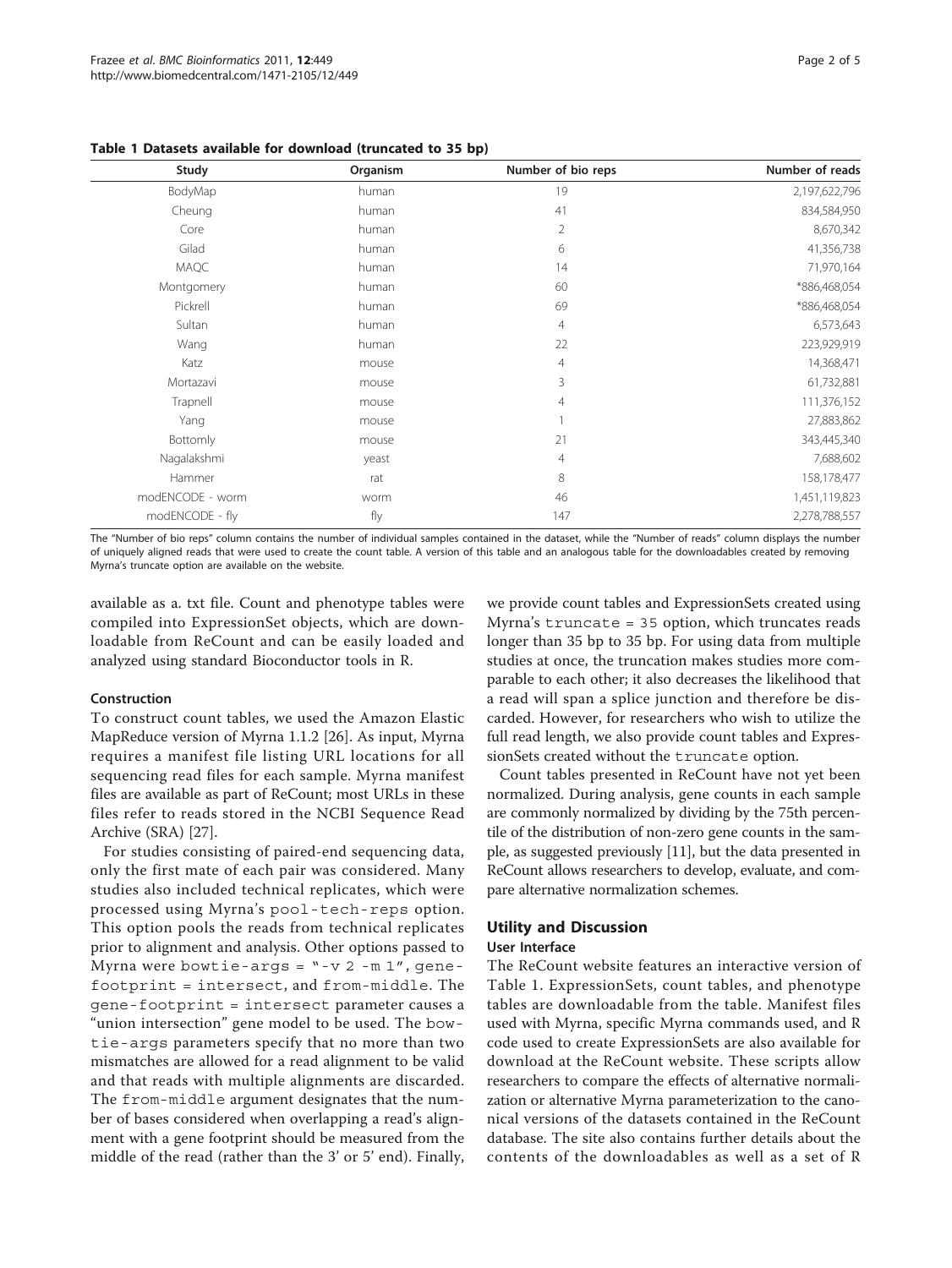| Study            | Organism | Number of bio reps | Number of reads |
|------------------|----------|--------------------|-----------------|
| BodyMap          | human    | 19                 | 2,197,622,796   |
| Cheung           | human    | 41                 | 834,584,950     |
| Core             | human    | $\overline{2}$     | 8,670,342       |
| Gilad            | human    | 6                  | 41,356,738      |
| MAQC             | human    | 14                 | 71,970,164      |
| Montgomery       | human    | 60                 | *886,468,054    |
| Pickrell         | human    | 69                 | *886,468,054    |
| Sultan           | human    | $\overline{4}$     | 6,573,643       |
| Wang             | human    | 22                 | 223,929,919     |
| Katz             | mouse    | $\overline{4}$     | 14,368,471      |
| Mortazavi        | mouse    | 3                  | 61,732,881      |
| Trapnell         | mouse    | 4                  | 111,376,152     |
| Yang             | mouse    |                    | 27,883,862      |
| Bottomly         | mouse    | 21                 | 343,445,340     |
| Nagalakshmi      | yeast    | $\overline{4}$     | 7,688,602       |
| Hammer           | rat      | 8                  | 158,178,477     |
| modENCODE - worm | worm     | 46                 | 1,451,119,823   |
| modENCODE - fly  | fly      | 147                | 2,278,788,557   |

<span id="page-1-0"></span>Table 1 Datasets available for download (truncated to 35 bp)

The "Number of bio reps" column contains the number of individual samples contained in the dataset, while the "Number of reads" column displays the number of uniquely aligned reads that were used to create the count table. A version of this table and an analogous table for the downloadables created by removing Myrna's truncate option are available on the website.

available as a. txt file. Count and phenotype tables were compiled into ExpressionSet objects, which are downloadable from ReCount and can be easily loaded and analyzed using standard Bioconductor tools in R.

#### Construction

To construct count tables, we used the Amazon Elastic MapReduce version of Myrna 1.1.2 [[26](#page-4-0)]. As input, Myrna requires a manifest file listing URL locations for all sequencing read files for each sample. Myrna manifest files are available as part of ReCount; most URLs in these files refer to reads stored in the NCBI Sequence Read Archive (SRA) [\[27\]](#page-4-0).

For studies consisting of paired-end sequencing data, only the first mate of each pair was considered. Many studies also included technical replicates, which were processed using Myrna's pool-tech-reps option. This option pools the reads from technical replicates prior to alignment and analysis. Other options passed to Myrna were bowtie-args =  $" -v 2 -m 1",$  genefootprint = intersect, and from-middle. The gene-footprint = intersect parameter causes a "union intersection" gene model to be used. The bowtie-args parameters specify that no more than two mismatches are allowed for a read alignment to be valid and that reads with multiple alignments are discarded. The from-middle argument designates that the number of bases considered when overlapping a read's alignment with a gene footprint should be measured from the middle of the read (rather than the 3' or 5' end). Finally,

we provide count tables and ExpressionSets created using Myrna's truncate = 35 option, which truncates reads longer than 35 bp to 35 bp. For using data from multiple studies at once, the truncation makes studies more comparable to each other; it also decreases the likelihood that a read will span a splice junction and therefore be discarded. However, for researchers who wish to utilize the full read length, we also provide count tables and ExpressionSets created without the truncate option.

Count tables presented in ReCount have not yet been normalized. During analysis, gene counts in each sample are commonly normalized by dividing by the 75th percentile of the distribution of non-zero gene counts in the sample, as suggested previously [\[11\]](#page-4-0), but the data presented in ReCount allows researchers to develop, evaluate, and compare alternative normalization schemes.

#### Utility and Discussion

#### User Interface

The ReCount website features an interactive version of Table 1. ExpressionSets, count tables, and phenotype tables are downloadable from the table. Manifest files used with Myrna, specific Myrna commands used, and R code used to create ExpressionSets are also available for download at the ReCount website. These scripts allow researchers to compare the effects of alternative normalization or alternative Myrna parameterization to the canonical versions of the datasets contained in the ReCount database. The site also contains further details about the contents of the downloadables as well as a set of R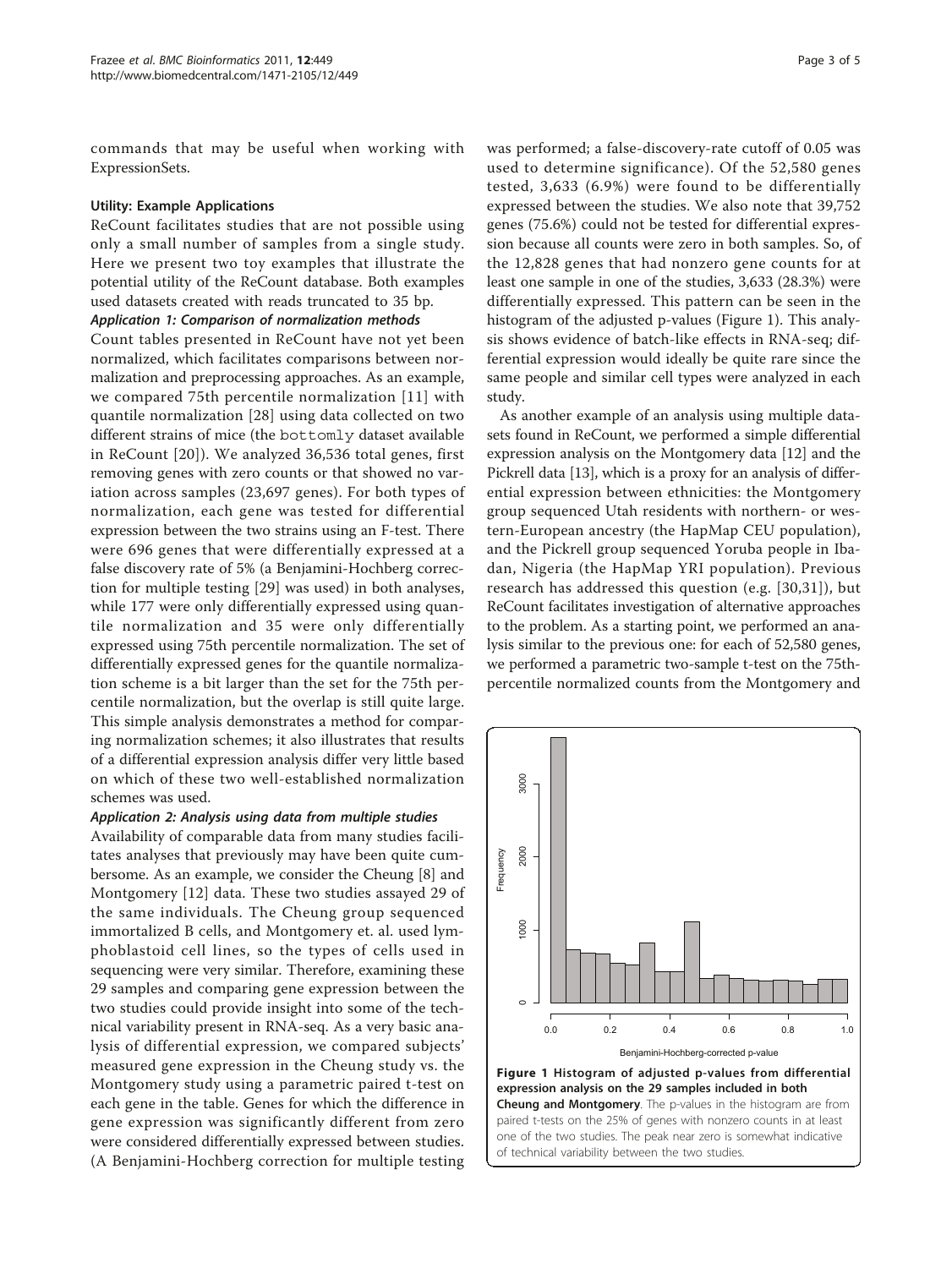commands that may be useful when working with ExpressionSets.

#### Utility: Example Applications

ReCount facilitates studies that are not possible using only a small number of samples from a single study. Here we present two toy examples that illustrate the potential utility of the ReCount database. Both examples used datasets created with reads truncated to 35 bp.

#### Application 1: Comparison of normalization methods

Count tables presented in ReCount have not yet been normalized, which facilitates comparisons between normalization and preprocessing approaches. As an example, we compared 75th percentile normalization [[11](#page-4-0)] with quantile normalization [[28\]](#page-4-0) using data collected on two different strains of mice (the bottomly dataset available in ReCount [[20](#page-4-0)]). We analyzed 36,536 total genes, first removing genes with zero counts or that showed no variation across samples (23,697 genes). For both types of normalization, each gene was tested for differential expression between the two strains using an F-test. There were 696 genes that were differentially expressed at a false discovery rate of 5% (a Benjamini-Hochberg correction for multiple testing [\[29](#page-4-0)] was used) in both analyses, while 177 were only differentially expressed using quantile normalization and 35 were only differentially expressed using 75th percentile normalization. The set of differentially expressed genes for the quantile normalization scheme is a bit larger than the set for the 75th percentile normalization, but the overlap is still quite large. This simple analysis demonstrates a method for comparing normalization schemes; it also illustrates that results of a differential expression analysis differ very little based on which of these two well-established normalization schemes was used.

#### Application 2: Analysis using data from multiple studies

Availability of comparable data from many studies facilitates analyses that previously may have been quite cumbersome. As an example, we consider the Cheung [[8\]](#page-4-0) and Montgomery [\[12\]](#page-4-0) data. These two studies assayed 29 of the same individuals. The Cheung group sequenced immortalized B cells, and Montgomery et. al. used lymphoblastoid cell lines, so the types of cells used in sequencing were very similar. Therefore, examining these 29 samples and comparing gene expression between the two studies could provide insight into some of the technical variability present in RNA-seq. As a very basic analysis of differential expression, we compared subjects' measured gene expression in the Cheung study vs. the Montgomery study using a parametric paired t-test on each gene in the table. Genes for which the difference in gene expression was significantly different from zero were considered differentially expressed between studies. (A Benjamini-Hochberg correction for multiple testing was performed; a false-discovery-rate cutoff of 0.05 was used to determine significance). Of the 52,580 genes tested, 3,633 (6.9%) were found to be differentially expressed between the studies. We also note that 39,752 genes (75.6%) could not be tested for differential expression because all counts were zero in both samples. So, of the 12,828 genes that had nonzero gene counts for at least one sample in one of the studies, 3,633 (28.3%) were differentially expressed. This pattern can be seen in the histogram of the adjusted p-values (Figure 1). This analysis shows evidence of batch-like effects in RNA-seq; differential expression would ideally be quite rare since the same people and similar cell types were analyzed in each study.

As another example of an analysis using multiple datasets found in ReCount, we performed a simple differential expression analysis on the Montgomery data [\[12\]](#page-4-0) and the Pickrell data [\[13](#page-4-0)], which is a proxy for an analysis of differential expression between ethnicities: the Montgomery group sequenced Utah residents with northern- or western-European ancestry (the HapMap CEU population), and the Pickrell group sequenced Yoruba people in Ibadan, Nigeria (the HapMap YRI population). Previous research has addressed this question (e.g. [\[30,31](#page-4-0)]), but ReCount facilitates investigation of alternative approaches to the problem. As a starting point, we performed an analysis similar to the previous one: for each of 52,580 genes, we performed a parametric two-sample t-test on the 75thpercentile normalized counts from the Montgomery and

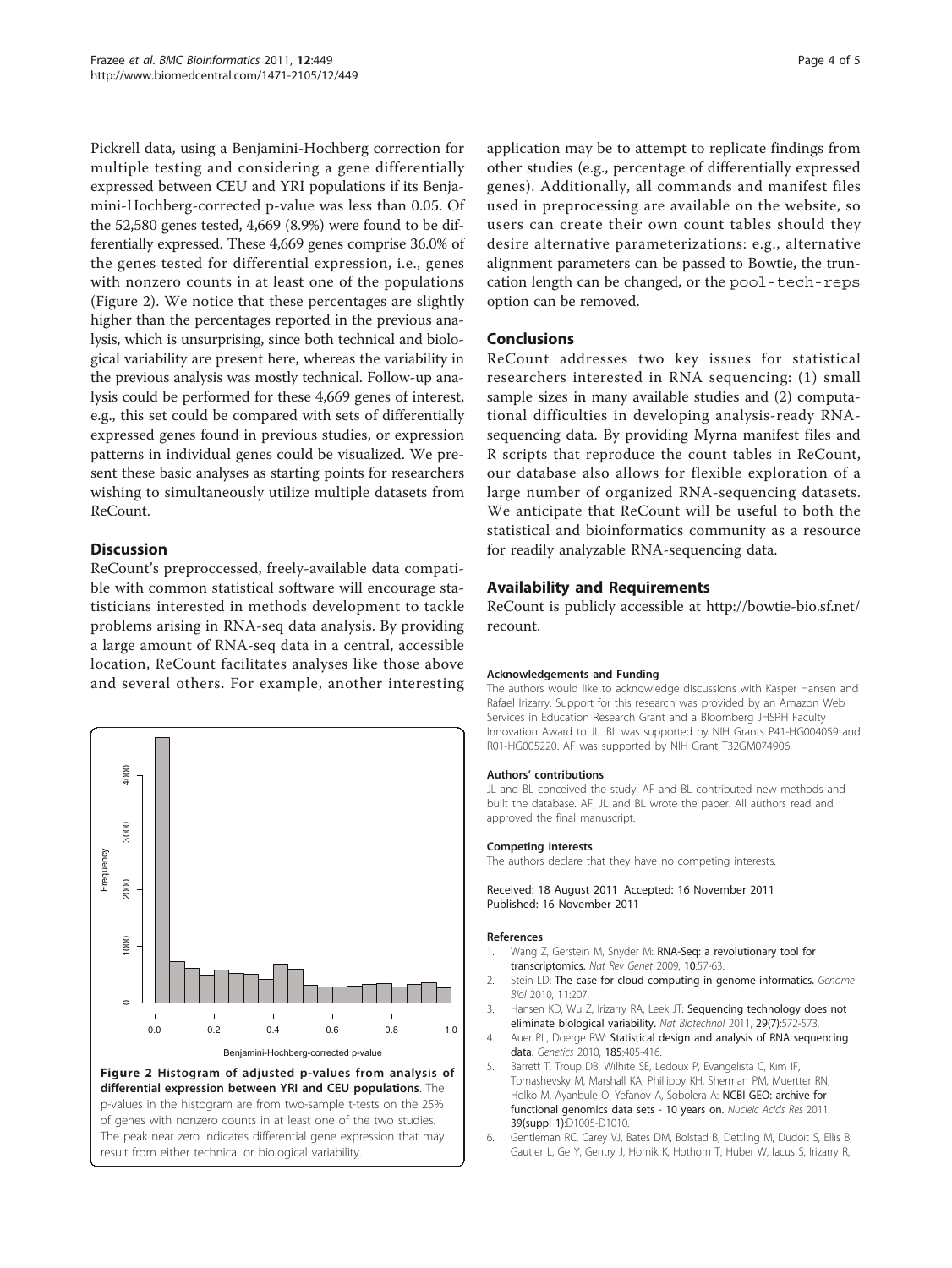<span id="page-3-0"></span>Pickrell data, using a Benjamini-Hochberg correction for multiple testing and considering a gene differentially expressed between CEU and YRI populations if its Benjamini-Hochberg-corrected p-value was less than 0.05. Of the 52,580 genes tested, 4,669 (8.9%) were found to be differentially expressed. These 4,669 genes comprise 36.0% of the genes tested for differential expression, i.e., genes with nonzero counts in at least one of the populations (Figure 2). We notice that these percentages are slightly higher than the percentages reported in the previous analysis, which is unsurprising, since both technical and biological variability are present here, whereas the variability in the previous analysis was mostly technical. Follow-up analysis could be performed for these 4,669 genes of interest, e.g., this set could be compared with sets of differentially expressed genes found in previous studies, or expression patterns in individual genes could be visualized. We present these basic analyses as starting points for researchers wishing to simultaneously utilize multiple datasets from ReCount.

# **Discussion**

ReCount's preproccessed, freely-available data compatible with common statistical software will encourage statisticians interested in methods development to tackle problems arising in RNA-seq data analysis. By providing a large amount of RNA-seq data in a central, accessible location, ReCount facilitates analyses like those above and several others. For example, another interesting



The peak near zero indicates differential gene expression that may

result from either technical or biological variability.

application may be to attempt to replicate findings from other studies (e.g., percentage of differentially expressed genes). Additionally, all commands and manifest files used in preprocessing are available on the website, so users can create their own count tables should they desire alternative parameterizations: e.g., alternative alignment parameters can be passed to Bowtie, the truncation length can be changed, or the pool-tech-reps option can be removed.

# Conclusions

ReCount addresses two key issues for statistical researchers interested in RNA sequencing: (1) small sample sizes in many available studies and (2) computational difficulties in developing analysis-ready RNAsequencing data. By providing Myrna manifest files and R scripts that reproduce the count tables in ReCount, our database also allows for flexible exploration of a large number of organized RNA-sequencing datasets. We anticipate that ReCount will be useful to both the statistical and bioinformatics community as a resource for readily analyzable RNA-sequencing data.

## Availability and Requirements

ReCount is publicly accessible at [http://bowtie-bio.sf.net/](http://bowtie-bio.sf.net/recount) [recount](http://bowtie-bio.sf.net/recount).

#### Acknowledgements and Funding

The authors would like to acknowledge discussions with Kasper Hansen and Rafael Irizarry. Support for this research was provided by an Amazon Web Services in Education Research Grant and a Bloomberg JHSPH Faculty Innovation Award to JL. BL was supported by NIH Grants P41-HG004059 and R01-HG005220. AF was supported by NIH Grant T32GM074906.

#### Authors' contributions

JL and BL conceived the study. AF and BL contributed new methods and built the database. AF, JL and BL wrote the paper. All authors read and approved the final manuscript.

#### Competing interests

The authors declare that they have no competing interests.

Received: 18 August 2011 Accepted: 16 November 2011 Published: 16 November 2011

#### References

- 1. Wang Z, Gerstein M, Snyder M: RNA-Seg: a revolutionary tool for [transcriptomics.](http://www.ncbi.nlm.nih.gov/pubmed/19015660?dopt=Abstract) Nat Rev Genet 2009, 10:57-63.
- 2. Stein LD: [The case for cloud computing in genome informatics.](http://www.ncbi.nlm.nih.gov/pubmed/20441614?dopt=Abstract) Genome Biol 2010, 11:207.
- 3. Hansen KD, Wu Z, Irizarry RA, Leek JT: [Sequencing technology does not](http://www.ncbi.nlm.nih.gov/pubmed/21747377?dopt=Abstract) [eliminate biological variability.](http://www.ncbi.nlm.nih.gov/pubmed/21747377?dopt=Abstract) Nat Biotechnol 2011, 29(7):572-573.
- 4. Auer PL, Doerge RW: [Statistical design and analysis of RNA sequencing](http://www.ncbi.nlm.nih.gov/pubmed/20439781?dopt=Abstract) [data.](http://www.ncbi.nlm.nih.gov/pubmed/20439781?dopt=Abstract) Genetics 2010, 185:405-416.
- 5. Barrett T, Troup DB, Wilhite SE, Ledoux P, Evangelista C, Kim IF, Tomashevsky M, Marshall KA, Phillippy KH, Sherman PM, Muertter RN, Holko M, Ayanbule O, Yefanov A, Sobolera A: [NCBI GEO: archive for](http://www.ncbi.nlm.nih.gov/pubmed/21097893?dopt=Abstract) [functional genomics data sets - 10 years on.](http://www.ncbi.nlm.nih.gov/pubmed/21097893?dopt=Abstract) Nucleic Acids Res 2011, 39(suppl 1):D1005-D1010.
- 6. Gentleman RC, Carey VJ, Bates DM, Bolstad B, Dettling M, Dudoit S, Ellis B, Gautier L, Ge Y, Gentry J, Hornik K, Hothorn T, Huber W, Iacus S, Irizarry R,